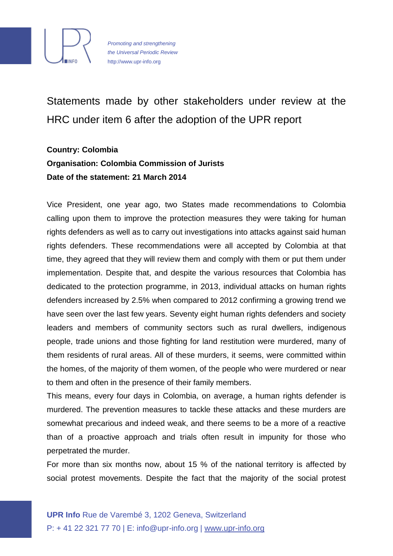

*Promoting and strengthening the Universal Periodic Review* http://www.upr-info.org

Statements made by other stakeholders under review at the HRC under item 6 after the adoption of the UPR report

## **Country: Colombia Organisation: Colombia Commission of Jurists Date of the statement: 21 March 2014**

Vice President, one year ago, two States made recommendations to Colombia calling upon them to improve the protection measures they were taking for human rights defenders as well as to carry out investigations into attacks against said human rights defenders. These recommendations were all accepted by Colombia at that time, they agreed that they will review them and comply with them or put them under implementation. Despite that, and despite the various resources that Colombia has dedicated to the protection programme, in 2013, individual attacks on human rights defenders increased by 2.5% when compared to 2012 confirming a growing trend we have seen over the last few years. Seventy eight human rights defenders and society leaders and members of community sectors such as rural dwellers, indigenous people, trade unions and those fighting for land restitution were murdered, many of them residents of rural areas. All of these murders, it seems, were committed within the homes, of the majority of them women, of the people who were murdered or near to them and often in the presence of their family members.

This means, every four days in Colombia, on average, a human rights defender is murdered. The prevention measures to tackle these attacks and these murders are somewhat precarious and indeed weak, and there seems to be a more of a reactive than of a proactive approach and trials often result in impunity for those who perpetrated the murder.

For more than six months now, about 15 % of the national territory is affected by social protest movements. Despite the fact that the majority of the social protest